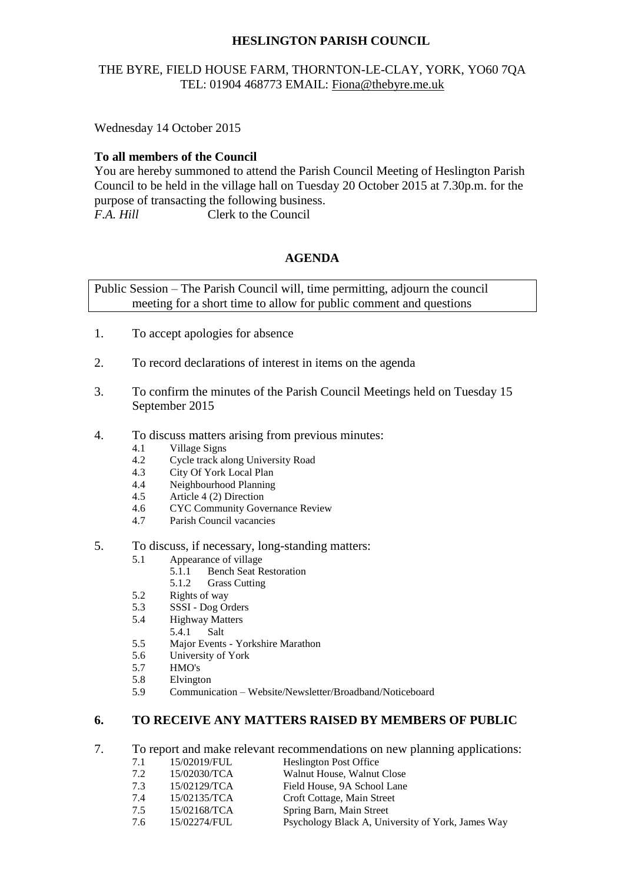# **HESLINGTON PARISH COUNCIL**

# THE BYRE, FIELD HOUSE FARM, THORNTON-LE-CLAY, YORK, YO60 7QA TEL: 01904 468773 EMAIL: [Fiona@thebyre.me.uk](mailto:Fiona@thebyre.me.uk)

Wednesday 14 October 2015

### **To all members of the Council**

You are hereby summoned to attend the Parish Council Meeting of Heslington Parish Council to be held in the village hall on Tuesday 20 October 2015 at 7.30p.m. for the purpose of transacting the following business. *F.A. Hill* Clerk to the Council

### **AGENDA**

Public Session – The Parish Council will, time permitting, adjourn the council meeting for a short time to allow for public comment and questions

- 1. To accept apologies for absence
- 2. To record declarations of interest in items on the agenda
- 3. To confirm the minutes of the Parish Council Meetings held on Tuesday 15 September 2015
- 4. To discuss matters arising from previous minutes:
	- 4.1 Village Signs
	- 4.2 Cycle track along University Road
	- 4.3 City Of York Local Plan
	- 4.4 Neighbourhood Planning
	- 4.5 Article 4 (2) Direction
	- 4.6 CYC Community Governance Review
	- 4.7 Parish Council vacancies
- 5. To discuss, if necessary, long-standing matters:
	- 5.1 Appearance of village
		- 5.1.1 Bench Seat Restoration
		- 5.1.2 Grass Cutting
	- 5.2 Rights of way
	- 5.3 SSSI Dog Orders
	- 5.4 Highway Matters
		- 5.4.1 Salt
	- 5.5 Major Events Yorkshire Marathon
	- 5.6 University of York
	- 5.7 HMO's
	- 5.8 Elvington
	- 5.9 Communication Website/Newsletter/Broadband/Noticeboard

#### **6. TO RECEIVE ANY MATTERS RAISED BY MEMBERS OF PUBLIC**

- 7. To report and make relevant recommendations on new planning applications:
	- 7.1 15/02019/FUL Heslington Post Office
	- 7.2 15/02030/TCA Walnut House, Walnut Close
	- 7.3 15/02129/TCA Field House, 9A School Lane
	- 7.4 15/02135/TCA Croft Cottage, Main Street
	- 7.5 15/02168/TCA Spring Barn, Main Street
	- 7.6 15/02274/FUL Psychology Black A, University of York, James Way